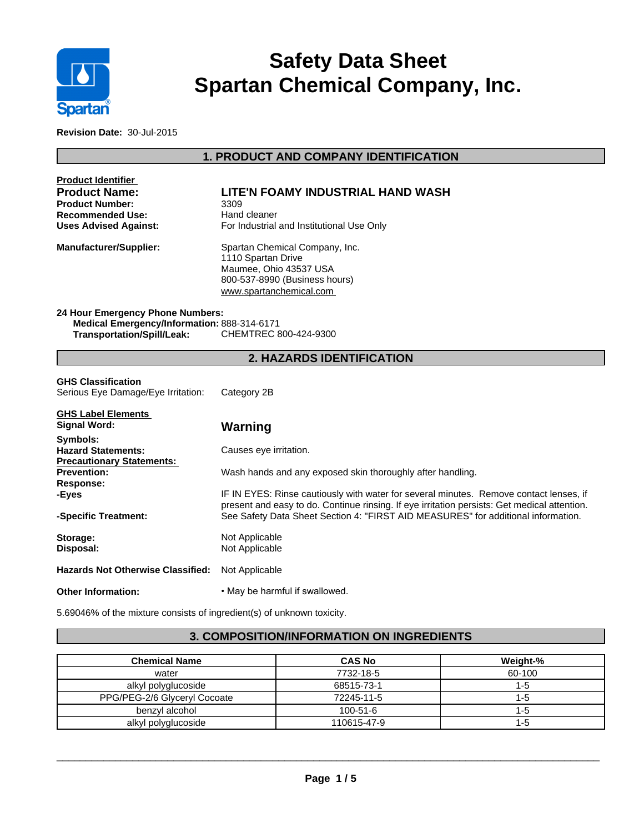

# **Safety Data Sheet Spartan Chemical Company, Inc.**

**Revision Date:** 30-Jul-2015

# **1. PRODUCT AND COMPANY IDENTIFICATION**

| <b>Product Identifier</b>                                                                                            |                                                                                                                                                                                        |  |  |
|----------------------------------------------------------------------------------------------------------------------|----------------------------------------------------------------------------------------------------------------------------------------------------------------------------------------|--|--|
| <b>Product Name:</b>                                                                                                 | LITE'N FOAMY INDUSTRIAL HAND WASH<br>3309                                                                                                                                              |  |  |
| <b>Product Number:</b>                                                                                               |                                                                                                                                                                                        |  |  |
| <b>Recommended Use:</b>                                                                                              | Hand cleaner                                                                                                                                                                           |  |  |
| <b>Uses Advised Against:</b>                                                                                         | For Industrial and Institutional Use Only                                                                                                                                              |  |  |
| Manufacturer/Supplier:                                                                                               | Spartan Chemical Company, Inc.<br>1110 Spartan Drive<br>Maumee, Ohio 43537 USA<br>800-537-8990 (Business hours)<br>www.spartanchemical.com                                             |  |  |
| 24 Hour Emergency Phone Numbers:<br>Medical Emergency/Information: 888-314-6171<br><b>Transportation/Spill/Leak:</b> | CHEMTREC 800-424-9300                                                                                                                                                                  |  |  |
|                                                                                                                      | <b>2. HAZARDS IDENTIFICATION</b>                                                                                                                                                       |  |  |
| <b>GHS Classification</b><br>Serious Eye Damage/Eye Irritation:                                                      | Category 2B                                                                                                                                                                            |  |  |
| <b>GHS Label Elements</b><br><b>Signal Word:</b>                                                                     | Warning                                                                                                                                                                                |  |  |
| Symbols:<br><b>Hazard Statements:</b>                                                                                | Causes eye irritation.                                                                                                                                                                 |  |  |
| <b>Precautionary Statements:</b><br><b>Prevention:</b><br><b>Response:</b>                                           | Wash hands and any exposed skin thoroughly after handling.                                                                                                                             |  |  |
| -Eyes                                                                                                                | IF IN EYES: Rinse cautiously with water for several minutes. Remove contact lenses, if<br>present and easy to do. Continue rinsing. If eye irritation persists: Get medical attention. |  |  |
| -Specific Treatment:                                                                                                 | See Safety Data Sheet Section 4: "FIRST AID MEASURES" for additional information.                                                                                                      |  |  |
| Storage:<br>Disposal:                                                                                                | Not Applicable<br>Not Applicable                                                                                                                                                       |  |  |
| <b>Hazards Not Otherwise Classified:</b>                                                                             | Not Applicable                                                                                                                                                                         |  |  |
| <b>Other Information:</b>                                                                                            | • May be harmful if swallowed.                                                                                                                                                         |  |  |

5.69046% of the mixture consists of ingredient(s) of unknown toxicity.

## **3. COMPOSITION/INFORMATION ON INGREDIENTS**

| Chemical Name                | <b>CAS No</b>  | Weight-% |
|------------------------------|----------------|----------|
| water                        | 7732-18-5      | 60-100   |
| alkyl polyglucoside          | 68515-73-1     | 1-5      |
| PPG/PEG-2/6 Glyceryl Cocoate | 72245-11-5     | ם-ו      |
| benzvl alcohol               | $100 - 51 - 6$ | כ- ו     |
| alkyl polyglucoside          | 110615-47-9    | 1-5      |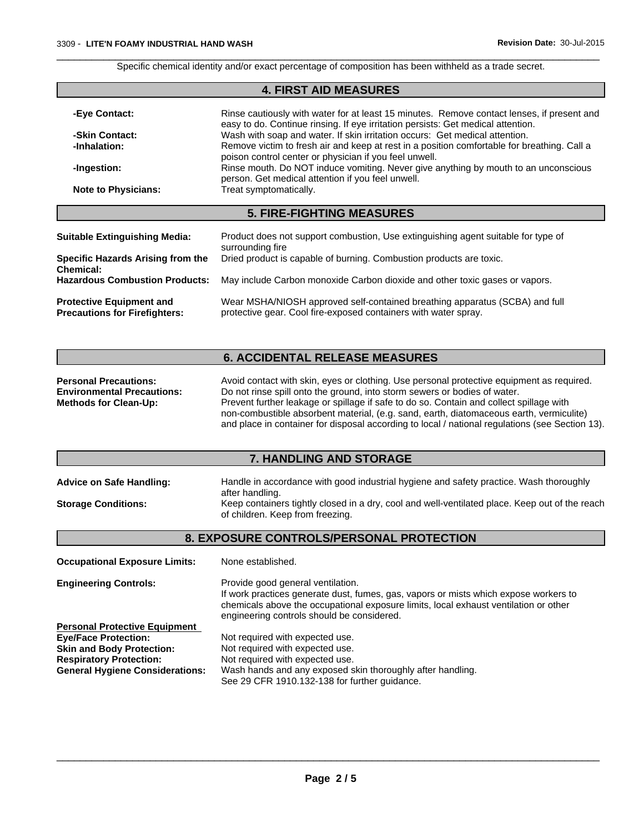Specific chemical identity and/or exact percentage of composition has been withheld as a trade secret.

 $\overline{\phantom{a}}$  ,  $\overline{\phantom{a}}$  ,  $\overline{\phantom{a}}$  ,  $\overline{\phantom{a}}$  ,  $\overline{\phantom{a}}$  ,  $\overline{\phantom{a}}$  ,  $\overline{\phantom{a}}$  ,  $\overline{\phantom{a}}$  ,  $\overline{\phantom{a}}$  ,  $\overline{\phantom{a}}$  ,  $\overline{\phantom{a}}$  ,  $\overline{\phantom{a}}$  ,  $\overline{\phantom{a}}$  ,  $\overline{\phantom{a}}$  ,  $\overline{\phantom{a}}$  ,  $\overline{\phantom{a}}$ 

# **4. FIRST AID MEASURES**

| -Eye Contact:              | Rinse cautiously with water for at least 15 minutes. Remove contact lenses, if present and<br>easy to do. Continue rinsing. If eye irritation persists: Get medical attention. |
|----------------------------|--------------------------------------------------------------------------------------------------------------------------------------------------------------------------------|
| -Skin Contact:             | Wash with soap and water. If skin irritation occurs: Get medical attention.                                                                                                    |
| -Inhalation:               | Remove victim to fresh air and keep at rest in a position comfortable for breathing. Call a<br>poison control center or physician if you feel unwell.                          |
| -Ingestion:                | Rinse mouth. Do NOT induce vomiting. Never give anything by mouth to an unconscious<br>person. Get medical attention if you feel unwell.                                       |
| <b>Note to Physicians:</b> | Treat symptomatically.                                                                                                                                                         |
|                            |                                                                                                                                                                                |

# **5. FIRE-FIGHTING MEASURES**

| <b>Suitable Extinguishing Media:</b>                                    | Product does not support combustion. Use extinguishing agent suitable for type of<br>surrounding fire                                          |
|-------------------------------------------------------------------------|------------------------------------------------------------------------------------------------------------------------------------------------|
| Specific Hazards Arising from the<br><b>Chemical:</b>                   | Dried product is capable of burning. Combustion products are toxic.                                                                            |
| <b>Hazardous Combustion Products:</b>                                   | May include Carbon monoxide Carbon dioxide and other toxic gases or vapors.                                                                    |
| <b>Protective Equipment and</b><br><b>Precautions for Firefighters:</b> | Wear MSHA/NIOSH approved self-contained breathing apparatus (SCBA) and full<br>protective gear. Cool fire-exposed containers with water spray. |

# **6. ACCIDENTAL RELEASE MEASURES**

| <b>Personal Precautions:</b>      | Avoid contact with skin, eyes or clothing. Use personal protective equipment as required.       |
|-----------------------------------|-------------------------------------------------------------------------------------------------|
| <b>Environmental Precautions:</b> | Do not rinse spill onto the ground, into storm sewers or bodies of water.                       |
| <b>Methods for Clean-Up:</b>      | Prevent further leakage or spillage if safe to do so. Contain and collect spillage with         |
|                                   | non-combustible absorbent material, (e.g. sand, earth, diatomaceous earth, vermiculite)         |
|                                   | and place in container for disposal according to local / national regulations (see Section 13). |

### **7. HANDLING AND STORAGE**

| <b>8. EXPOSURE CONTROLS/PERSONAL PROTECTION</b> |                                                                                                                                    |  |
|-------------------------------------------------|------------------------------------------------------------------------------------------------------------------------------------|--|
| <b>Storage Conditions:</b>                      | Keep containers tightly closed in a dry, cool and well-ventilated place. Keep out of the reach<br>of children. Keep from freezing. |  |
| Advice on Safe Handling:                        | Handle in accordance with good industrial hygiene and safety practice. Wash thoroughly<br>after handling.                          |  |

**Occupational Exposure Limits:** None established.

| Provide good general ventilation.                                                                                                                                                                                          |
|----------------------------------------------------------------------------------------------------------------------------------------------------------------------------------------------------------------------------|
| If work practices generate dust, fumes, gas, vapors or mists which expose workers to<br>chemicals above the occupational exposure limits, local exhaust ventilation or other<br>engineering controls should be considered. |
|                                                                                                                                                                                                                            |
| Not required with expected use.                                                                                                                                                                                            |
| Not required with expected use.                                                                                                                                                                                            |
| Not required with expected use.                                                                                                                                                                                            |
| Wash hands and any exposed skin thoroughly after handling.                                                                                                                                                                 |
| See 29 CFR 1910.132-138 for further guidance.                                                                                                                                                                              |
|                                                                                                                                                                                                                            |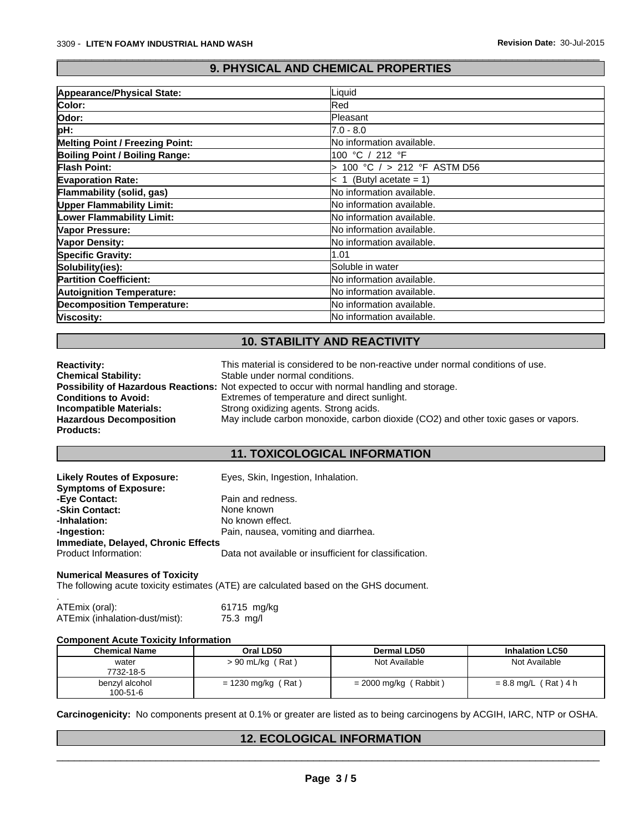# **9. PHYSICAL AND CHEMICAL PROPERTIES**

 $\overline{\phantom{a}}$  ,  $\overline{\phantom{a}}$  ,  $\overline{\phantom{a}}$  ,  $\overline{\phantom{a}}$  ,  $\overline{\phantom{a}}$  ,  $\overline{\phantom{a}}$  ,  $\overline{\phantom{a}}$  ,  $\overline{\phantom{a}}$  ,  $\overline{\phantom{a}}$  ,  $\overline{\phantom{a}}$  ,  $\overline{\phantom{a}}$  ,  $\overline{\phantom{a}}$  ,  $\overline{\phantom{a}}$  ,  $\overline{\phantom{a}}$  ,  $\overline{\phantom{a}}$  ,  $\overline{\phantom{a}}$ 

| Appearance/Physical State:             | Liquid                           |
|----------------------------------------|----------------------------------|
| Color:                                 | <b>I</b> Red                     |
| Odor:                                  | lPleasant                        |
| pH:                                    | $7.0 - 8.0$                      |
| <b>Melting Point / Freezing Point:</b> | No information available.        |
| <b>Boiling Point / Boiling Range:</b>  | 100 °C / 212 °F                  |
| <b>Flash Point:</b>                    | 100 °C / > 212 °F ASTM D56       |
| <b>Evaporation Rate:</b>               | $< 1$ (Butyl acetate = 1)        |
| Flammability (solid, gas)              | No information available.        |
| <b>Upper Flammability Limit:</b>       | <b>No information available.</b> |
| Lower Flammability Limit:              | No information available.        |
| Vapor Pressure:                        | No information available.        |
| <b>Vapor Density:</b>                  | <b>No information available.</b> |
| <b>Specific Gravity:</b>               | 1.01                             |
| Solubility(ies):                       | Soluble in water                 |
| <b>Partition Coefficient:</b>          | No information available.        |
| <b>Autoignition Temperature:</b>       | No information available.        |
| <b>Decomposition Temperature:</b>      | No information available.        |
| Viscosity:                             | lNo information available.       |

# **10. STABILITY AND REACTIVITY**

| <b>Reactivity:</b>             | This material is considered to be non-reactive under normal conditions of use.                     |
|--------------------------------|----------------------------------------------------------------------------------------------------|
| <b>Chemical Stability:</b>     | Stable under normal conditions.                                                                    |
|                                | <b>Possibility of Hazardous Reactions:</b> Not expected to occur with normal handling and storage. |
| <b>Conditions to Avoid:</b>    | Extremes of temperature and direct sunlight.                                                       |
| <b>Incompatible Materials:</b> | Strong oxidizing agents. Strong acids.                                                             |
| <b>Hazardous Decomposition</b> | May include carbon monoxide, carbon dioxide (CO2) and other toxic gases or vapors.                 |
| <b>Products:</b>               |                                                                                                    |

### **11. TOXICOLOGICAL INFORMATION**

| <b>Likely Routes of Exposure:</b><br><b>Symptoms of Exposure:</b> | Eyes, Skin, Ingestion, Inhalation.                     |  |  |
|-------------------------------------------------------------------|--------------------------------------------------------|--|--|
| -Eye Contact:                                                     | Pain and redness.                                      |  |  |
| -Skin Contact:                                                    | None known                                             |  |  |
| -Inhalation:                                                      | No known effect.                                       |  |  |
| -Ingestion:                                                       | Pain, nausea, vomiting and diarrhea.                   |  |  |
| Immediate, Delayed, Chronic Effects                               |                                                        |  |  |
| Product Information:                                              | Data not available or insufficient for classification. |  |  |

#### **Numerical Measures of Toxicity**

The following acute toxicity estimates (ATE) are calculated based on the GHS document.

.ATEmix (oral): 61715 mg/kg ATEmix (inhalation-dust/mist): 75.3 mg/l

#### **Component Acute Toxicity Information**

| <b>Chemical Name</b>       | Oral LD50            | Dermal LD50             | <b>Inhalation LC50</b> |
|----------------------------|----------------------|-------------------------|------------------------|
| water<br>7732-18-5         | $> 90$ mL/kg (Rat)   | Not Available           | Not Available          |
| benzyl alcohol<br>100-51-6 | $= 1230$ mg/kg (Rat) | $= 2000$ mg/kg (Rabbit) | $= 8.8$ mg/L (Rat) 4 h |

**Carcinogenicity:** No components present at 0.1% or greater are listed as to being carcinogens by ACGIH, IARC, NTP or OSHA.

### **12. ECOLOGICAL INFORMATION**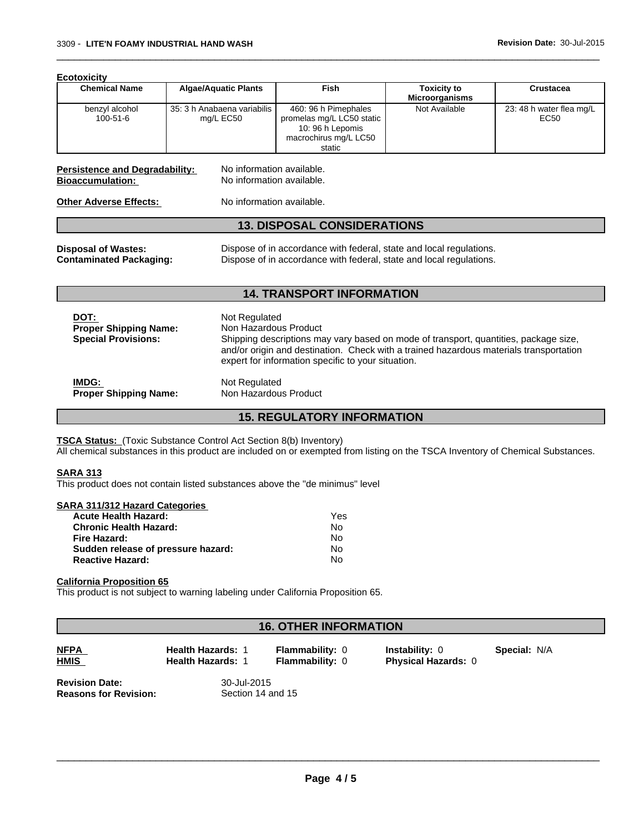**Ecotoxicity Chemical Name Algae/Aquatic Plants Fish Toxicity to Microorganisms Crustacea** benzyl alcohol 100-51-6 ma/L EC50 35: 3 h Anabaena variabilis mg/L EC50 promelas mg/L LC50 static 460: 96 h Pimephales 10: 96 h Lepomis macrochirus mg/L LC50 static 23: 48 h water flea mg/L EC50 **Persistence and Degradability:** No information available. **Bioaccumulation:** No information available. **Other Adverse Effects:** No information available. **13. DISPOSAL CONSIDERATIONS Disposal of Wastes:** Dispose of in accordance with federal, state and local regulations. **Contaminated Packaging:** Dispose of in accordance with federal, state and local regulations. **14. TRANSPORT INFORMATION DOT: Not Regulated**<br> **Proper Shipping Name:** Non Hazardous Product **Proper Shipping Name: Special Provisions:** Shipping descriptions may vary based on mode of transport, quantities, package size, and/or origin and destination. Check with a trained hazardous materials transportation expert for information specific to your situation.

 $\overline{\phantom{a}}$  ,  $\overline{\phantom{a}}$  ,  $\overline{\phantom{a}}$  ,  $\overline{\phantom{a}}$  ,  $\overline{\phantom{a}}$  ,  $\overline{\phantom{a}}$  ,  $\overline{\phantom{a}}$  ,  $\overline{\phantom{a}}$  ,  $\overline{\phantom{a}}$  ,  $\overline{\phantom{a}}$  ,  $\overline{\phantom{a}}$  ,  $\overline{\phantom{a}}$  ,  $\overline{\phantom{a}}$  ,  $\overline{\phantom{a}}$  ,  $\overline{\phantom{a}}$  ,  $\overline{\phantom{a}}$ 

**IMDG: Not Regulated**<br> **Proper Shipping Name:** Non Hazardous Product **Proper Shipping Name:** 

**15. REGULATORY INFORMATION**

**TSCA Status:** (Toxic Substance Control Act Section 8(b) Inventory)

All chemical substances in this product are included on or exempted from listing on the TSCA Inventory of Chemical Substances.

#### **SARA 313**

This product does not contain listed substances above the "de minimus" level

#### **SARA 311/312 Hazard Categories**

| <b>Acute Health Hazard:</b>        | Yes |  |
|------------------------------------|-----|--|
| <b>Chronic Health Hazard:</b>      | N٥  |  |
| Fire Hazard:                       | N٥  |  |
| Sudden release of pressure hazard: | N٥  |  |
| <b>Reactive Hazard:</b>            | N٥  |  |

#### **California Proposition 65**

This product is not subject to warning labeling under California Proposition 65.

### **16. OTHER INFORMATION**

**Flammability:** 0 **Instability:** 0 **Special:** N/A

| NFPA |  |
|------|--|
| HMIS |  |

**Health Hazards:** 1 **Flammability:** 0 **Physical Hazards:** 0

**Health Hazards: 1** 

**Revision Date:** 30-Jul-2015<br> **Reasons for Revision:** Section 14 and 15 **Reasons for Revision:**